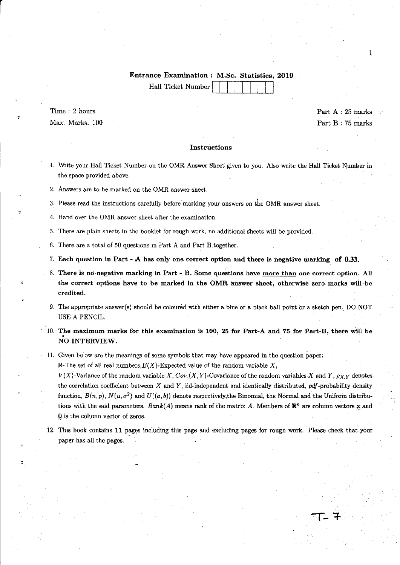### Entrance Examination : M.Sc. Statistics, 2019

Hall Ticket Number

r

 $Time: 2 hours$  Part  $A: 25 marks$ Max. Marks. 100 **Part B** : 75 marks

1

#### Instructions

- 1. Write your Hall Ticket Number on the OMR Answer Sheet given to you. Also write the Hall Ticket Number in the space provided above.
- 2. Answers are to be marked on the OMR answer sheet.

3. Please read the instructions carefully before marking your answers on the OMR answer sheet.

4. Hand over the OMR answer sheet after the examination.

5. There are plain sheets in the booklet for rough work, no additional sheets will be provided.

6. There are a total of 50 questions in Part A and Part B together.

7. Each question in Part - A has only one correct option and there is negative marking of 0.33.

- 8. There is no negative marking in Part B. Some questions have more than one correct option. All the correct options have to be marked in the OMR answer sheet, otherwise zero marks will be credited.
- 9. The appropriate answer(s) should be coloured with either a blue or a black ball point or a sketch pen. DO NOT USE A PENCIL.
- $10.$  The maximum marks for this examination is  $100, 25$  for Part-A and 75 for Part-B, there will be NO INTERVIEW.

#### , 11. Given below are the meanings of some symbols that may have appeared in the question paper:

R-The set of all real numbers,  $E(X)$ -Expected value of the random variable X,

 $V(X)$ -Variance of the random variable X, Cov. $(X, Y)$ -Covariance of the random variables X and Y,  $\rho_{X,Y}$  denotes the correlation coefficient between  $X$  and  $Y$ , iid-independent and identically distributed,  $pdf$ -probability density function,  $B(n, p)$ ,  $N(\mu, \sigma^2)$  and  $U((a, b))$  denote respectively,the Binomial, the Normal and the Uniform distributions with the said parameters.  $Rank(A)$  means rank of the matrix A. Members of  $\mathbb{R}^n$  are column vectors  $\mathbf{x}$  and  $\Omega$  is the column vector of zeros.

12. This book contains 11 pages including this page and excluding pages for rough work. Please check that your paper has all the pages.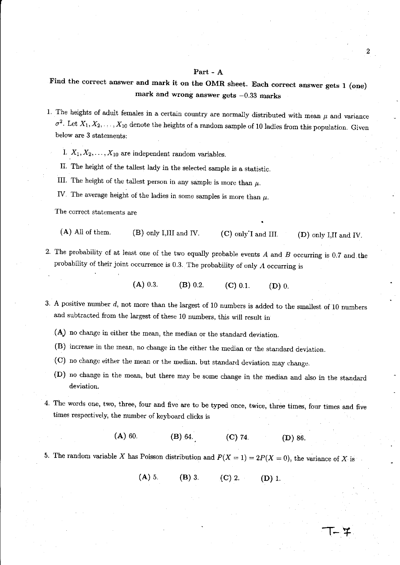## Part-A

9

Find the correct answer and mark it on the OMR sheet. Each correct answer gets 1 (one) mark and wrong answer gets  $-0.33$  marks

- 1. The heights of adult females in a certain country are normally distributed with mean  $\mu$  and variance  $\sigma^2$ . Let  $X_1, X_2, \ldots, X_{10}$  denote the heights of a random sample of 10 ladies from this population. Given below are 3 statements:
	- I.  $X_1, X_2, \ldots, X_{10}$  are independent random variables.
	- II. The height of the tallest lady in the selected sample is a statistic.
	- III. The height of the tallest person in any sample is more than  $\mu$ .
	- IV. The average height of the ladies in some samples is more than  $\mu$ .

**The correct statements are** 

- (A) All of them. (B) only I,III and IV. (C) only I and III. (D) only I,II and IV.
- 2. The probability of at least one of the two equally probable events *A* and *B* occurring is 0.7 and the probability of their joint occurrence is 0.3. The probability of ouly A occurring is

(A) 0.3. (B) 0.2. (C) 0.1. (D) 0.

- 3. A positive number d, not more than the largest of 10 numbers is added to the smallest of 10 numbers and subtracted from the largest of these 10 numbers, this will result in
	- (A) no change in either the mean, the median or the standard deviation.
	- (B) increase in the mean, no change in the either the median or the standard deviation.
	- (C) no change either the mean or the median, but standard deviation may change.
	- (D) no change in the mean, but there may be some change in the median and also in the standard deviation.
- 4. The words one, two, three, four and five are to be typed once, twice, three times, four times and five times respectively, the number of keyboard clicks is
	- (A) 60. (B) 64. (C) 74. (D) 86.

5. The random variable X has Poisson distribution and  $P(X = 1) = 2P(X = 0)$ , the variance of X is

(A) 5. (B) 3. (C) 2. (D) 1.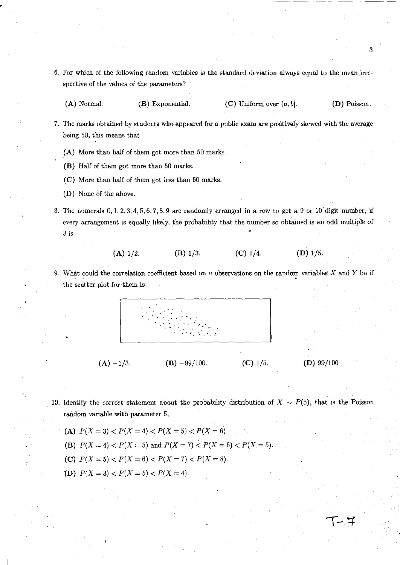- 6. For which of the following random variables is the standard deviation always equal to the mean irrespective of the values of the parameters?
	- (A) Normal. (B) Exponential. (C) Uniform over  $(a, b]$ . (D) Poisson.

3

 $T-7$ 

- 7. The marks obtained by students who appeared for a public exam are positively skewed with the average being 50, this means that
	- (A) More than half of them got more than 50 marks.
	- (B) Half of them got more than 50 marks.
	- (C) More than half of them got less than 50 marks.
	- (D) None of the above.
- 8. The numerals 0,1,2,3,4,5,6,7,8,9 are randomly arranged in a row to get a 9 or 10 digit number, if every arrangement is equally likely, the probability that the number so obtained is an odd multiple of  $3 \text{ is }$

$$
(A) 1/2. \t\t (B) 1/3. \t\t (C) 1/4. \t\t (D) 1/5.
$$

9. What could the correlation coefficient based on *n* observations on the random variables X and Y be if the scatter plot for them is



- 10. Identify the correct statement about the probability distribution of  $X \sim P(5)$ , that is the Poisson random variable with parameter 5,
	- (A)  $P(X = 3) < P(X = 4) < P(X = 5) < P(X = 6)$ .
	- (B)  $P(X = 4) < P(X = 5)$  and  $P(X = 7) < P(X = 6) < P(X = 5)$ .
	- (C)  $P(X = 5) < P(X = 6) < P(X = 7) < P(X = 8)$ .
	- (D)  $P(X = 3) < P(X = 5) < P(X = 4)$ .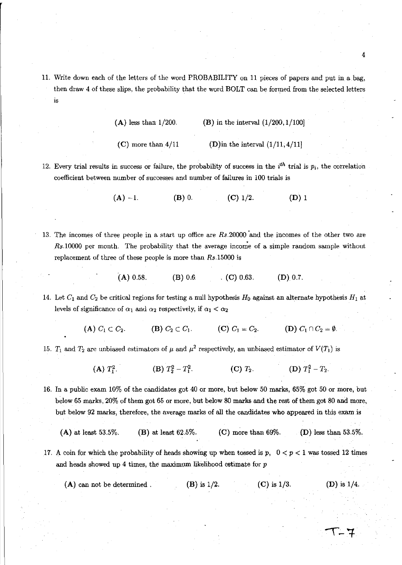11. Write down each of the letters of the word PROBABILITY on 11 pieces of papers and put in a bag, then draw 4 of these slips, the probability that the word BOLT can be formed from the selected letters is

| $(A)$ less than $1/200$ . |  | (B) in the interval $(1/200, 1/100)$ |  |  |  |
|---------------------------|--|--------------------------------------|--|--|--|
|---------------------------|--|--------------------------------------|--|--|--|

- (C) more than  $4/11$  (D) in the interval  $(1/11, 4/11)$
- 12. Every trial results in success or failure, the probability of success in the  $i<sup>th</sup>$  trial is  $p<sub>i</sub>$ , the correlation coefficient between number of successes and number of failures in 100 trials is

(A)  $-1$ . (B) 0. (C) 1/2. (D) 1

- 13. The incomes of three people in a start up office are *Rs.20000* 'and the incomes of the other two are  $Rs.10000$  per month. The probability that the average income of a simple random sample without replacement of three of these people is more than *Rs.15000* is
	- $(A) 0.58.$  **(B)** 0.6 . **(C)** 0.63. **(D)** 0.7.
- 14. Let  $C_1$  and  $C_2$  be critical regions for testing a null hypothesis  $H_0$  against an alternate hypothesis  $H_1$  at levels of significance of  $\alpha_1$  and  $\alpha_2$  respectively, if  $\alpha_1 < \alpha_2$

(A)  $C_1 \subset C_2$ . (B)  $C_2 \subset C_1$ . (C)  $C_1 = C_2$ . (D)  $C_1 \cap C_2 = \emptyset$ .

15. T<sub>1</sub> and  $T_2$  are unbiased estimators of  $\mu$  and  $\mu^2$  respectively, an unbiased estimator of  $V(T_1)$  is

(A)  $T_1^2$  (B)  $T_2^2 - T_1^2$  (C)  $T_2$  (D)  $T_1^2 - T_2$ 

16. In a public exam 10% of the candidates got 40 or more, but below 50 marks, 65% got 50 or more, but below 65 marks, 20% of them got 65 or more, but below 80 marks and the rest of them got 80 and more, but below 92 marks, therefore, the average marks of all the candidates who appeared in this exam is

```
(A) at least 53.5%. (B) at least 62.5%. (C) more than 69%. (D) less than 53.5%.
```
- 17. A coin for which the probability of heads showing up when tossed is  $p$ ,  $0 < p < 1$  was tossed 12 times and heads showed up 4 times, the maximum likelihood estimate for *p* 
	- (A) can not be determined . (B) is  $1/2$ . (C) is  $1/3$ . (D) is  $1/4$ .

4

トーエ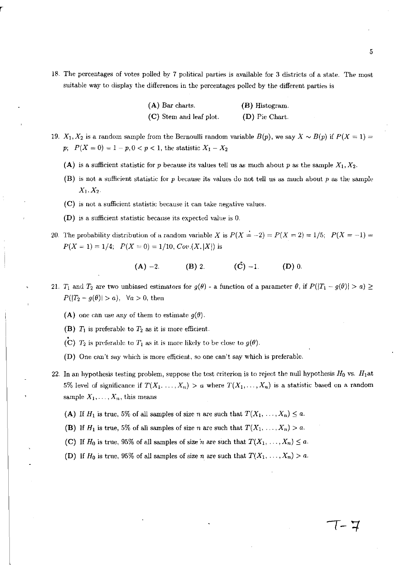18. The percentages of votes polled by 7 political parties is available for 3 districts of a state. The most suitable way to display the differences in the percentages polled by the different parties is

| $(A)$ Bar charts.       | (B) Histogram  |
|-------------------------|----------------|
| (C) Stem and leaf plot. | (D) Pie Chart. |

- 19.  $X_1, X_2$  is a random sample from the Bernoulli random variable  $B(p)$ , we say  $X \sim B(p)$  if  $P(X = 1) =$ *p*;  $P(X = 0) = 1 - p, 0 < p < 1$ , the statistic  $X_1 - X_2$ 
	- (A) is a sufficient statistic for *p* because its values tell us as much about *p* as the sample  $X_1, X_2$ .
	- (B) is not a sufficient statistic for  $p$  because its values do not tell us as much about  $p$  as the sample  $X_1, X_2.$
	- (C) is not a sufficient statistic because it can take negative values.
	- (D) is a sufficient statistic because its expected value is O.
- 20. The probability distribution of a random variable X is  $P(X = -2) = P(X = 2) = 1/5$ ;  $P(X = -1) =$  $P(X = 1) = 1/4$ ;  $P(X = 0) = 1/10$ ,  $Cov(X, |X|)$  is

$$
(A) -2. \t\t (B) 2. \t\t (C) -1. \t\t (D) 0.
$$

- 21. T<sub>1</sub> and T<sub>2</sub> are two unbiased estimators for  $g(\theta)$  a function of a parameter  $\theta$ , if  $P(|T_1 g(\theta)| > a) \ge$  $P(|T_2 - g(\theta)| > a)$ ,  $\forall a > 0$ , then
	- (A) one can use any of them to estimate  $g(\theta)$ .
	- (B)  $T_1$  is preferable to  $T_2$  as it is more efficient.
	- (C)  $T_2$  is preferable to  $T_1$  as it is more likely to be close to  $g(\theta)$ .
	- (D) One can't say which is more efficient, so one can't say which is preferable.
- 22. In an hypothesis testing problem, suppose the test criterion is to reject the null hypothesis  $H_0$  vs.  $H_1$ at 5% level of significance if  $T(X_1, \ldots, X_n) > a$  where  $T(X_1, \ldots, X_n)$  is a statistic based on a random sample  $X_1, \ldots, X_n$ , this means
	- (A) If  $H_1$  is true, 5% of all samples of size *n* are such that  $T(X_1, \ldots, X_n) \leq a$ .
	- (B) If  $H_1$  is true, 5% of all samples of size *n* are such that  $T(X_1, \ldots, X_n) > a$ .
	- (C) If  $H_0$  is true, 95% of all samples of size *n* are such that  $T(X_1, \ldots, X_n) \leq a$ .
	- (D) If  $H_0$  is true, 95% of all samples of size *n* are such that  $T(X_1, \ldots, X_n) > a$ .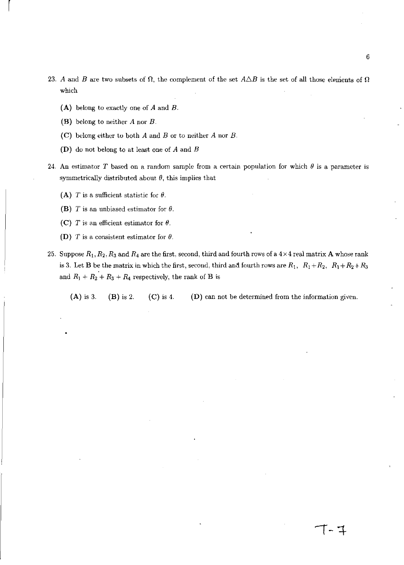- 23. A and *B* are two subsets of  $\Omega$ , the complement of the set  $A\triangle B$  is the set of all those elements of  $\Omega$ which
	- (A) belong to exactly one of *A* and *B.*
	- (B) belong to neither *A* nor *B.*

l,

- (e) belong either to both *A* and *B* or to neither *A* nor *B.*
- (D) do not belong to at least one of *A* and *B*
- 24. An estimator T based on a random sample from a certain population for which  $\theta$  is a parameter is symmetrically distributed about  $\theta$ , this implies that
	- (A) *T* is a sufficient statistic for  $\theta$ .
	- (B) T is an unbiased estimator for  $\theta$ .
	- (C) *T* is an efficient estimator for  $\theta$ .
	- (D) T is a consistent estimator for  $\theta$ .
- 25. Suppose  $R_1, R_2, R_3$  and  $R_4$  are the first, second, third and fourth rows of a  $4 \times 4$  real matrix **A** whose rank is 3. Let **B** be the matrix in which the first, second, third and fourth rows are  $R_1$ ,  $R_1 + R_2$ ,  $R_1 + R_2 + R_3$ and  $R_1 + R_2 + R_3 + R_4$  respectively, the rank of **B** is

(A) is 3. (B) is 2. (C) is 4. (D) can not be determined from the information given.

**[-1-**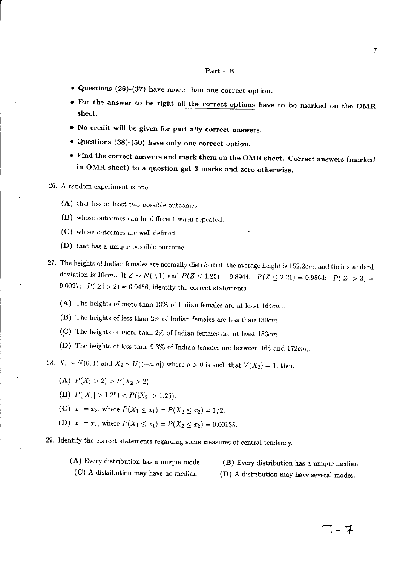#### Part - B

- Questions (26)-(37) have more than one correct option.
- For the answer to be right all the correct options have to be marked on the OMR sheet.
- No credit will be given for partially correct answers.
- Questions (38)-(50) have only one correct option.
- Find the correct answers and mark them on the OMR sheet. Correct answers (marked in OMR sheet) to a question get 3 marks and zero otherwise.
- 26. A random experiment is one
	- (A) that has at least two possible outcomes.
	- (B) whose outcomes can be different when repeated.
	- (C) whose outcomes are well defined.
	- (D) that has a unique possible outcome ..
- 27. The heights of Indian females are normally distributed, the average height is 152.2cm. and their standard deviation is 10cm.. If  $Z \sim N(0, 1)$  and  $P(Z \le 1.25) = 0.8944$ ;  $P(Z \le 2.21) = 0.9864$ ;  $P(|Z| > 3) =$ 0.0027;  $P(|Z| > 2) = 0.0456$ , identify the correct statements.
	- (A) The heights of more than  $10\%$  of Indian females are at least  $164cm$ ..
	- (B) The heights of less than 2% of Indian females are less than  $130cm$ ...
	- (~) The heights of more than 2% of Indian females are at least *183cm ..*
	- (D) The heights of less than 9.3% of Indian females are between 168 and 172 $cm$ .

28.  $X_1 \sim N(0, 1)$  and  $X_2 \sim U((-a, a])$  where  $a > 0$  is such that  $V(X_2) = 1$ , then

(A) 
$$
P(X_1 > 2) > P(X_2 > 2)
$$
.

- (B)  $P(|X_1| > 1.25) < P(|X_2| > 1.25)$ .
- (C)  $x_1 = x_2$ , where  $P(X_1 \le x_1) = P(X_2 \le x_2) = 1/2$ .
- (D)  $x_1 = x_2$ , where  $P(X_1 \le x_1) = P(X_2 \le x_2) = 0.00135$ .

# 29. Identify the correct statements regarding some measures of central tendency.

(A) Every distribution has a unique mode. (C) A distribution may have no median. (B) Every distribution has a unique median. (D) A distribution may have several modes.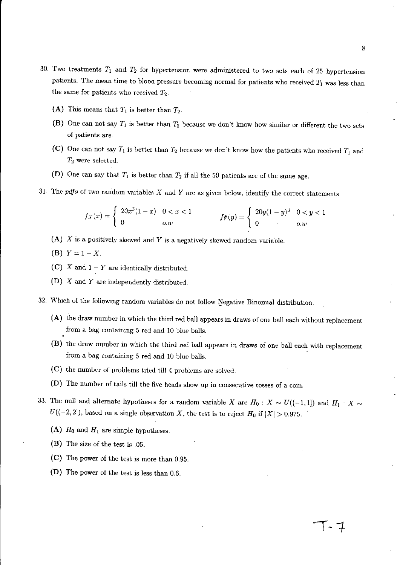- 30. Two treatments *T,* and *T2* for hypertension were administered to two sets each of 25 hypertension patients. The mean time to blood pressure becoming normal for patients who received  $T_1$  was less than the same for patients who received *T2.* 
	- (A) This means that  $T_1$  is better than  $T_2$ .
	- (B) One can not say *T,* is better than *T2* because we don't know how similar or different the two sets of patients are.
	- (C) One can not say  $T_1$  is better than  $T_2$  because we don't know how the patients who received  $T_1$  and *T2* were selected.
	- (D) One can say that *T,* is better than *T2* if all the 50 patients are of the same age.
- 31. The *pdfs* of two random variables  $X$  and  $Y$  are as given below, identify the correct statements

$$
f_X(x) = \begin{cases} 20x^3(1-x) & 0 < x < 1 \\ 0 & o.w \end{cases} \qquad \qquad f_{\mathbf{f}}(y) = \begin{cases} 20y(1-y)^3 & 0 < y < 1 \\ 0 & o.w \end{cases}
$$

- (A)  $X$  is a positively skewed and  $Y$  is a negatively skewed random variable.
- (**B**)  $Y = 1 X$ .
- (C) X and  $1 Y$  are identically distributed.
- (D)  $X$  and  $Y$  are independently distributed.
- 32. Which of the following random variables do not follow Negative Binomial distribution.
	- (A) the draw number in which the third red ball appears in draws of one ball each without replacement from a bag containing 5 red and 10 blue balls.
	- (B) the draw number in which the third red ball appears in draws of one ball each with replacement from a bag containing 5 red and 10 blue balls.
	- (C) the number of problems tried till 4 problems are solved.
	- (D) The number of tails till the five heads show up in consecutive tosses of a coin.
- 33. The null and alternate hypotheses for a random variable *X* are  $H_0$ :  $X \sim U((-1,1])$  and  $H_1: X \sim$  $U((-2,2])$ , based on a single observation X, the test is to reject  $H_0$  if  $|X| > 0.975$ .
	- (A)  $H_0$  and  $H_1$  are simple hypotheses.
	- (B) The size of the test is .05.
	- (C) The power of the test is more than 0.95.
	- (D) The power of the test is less than 0.6.

**1-1**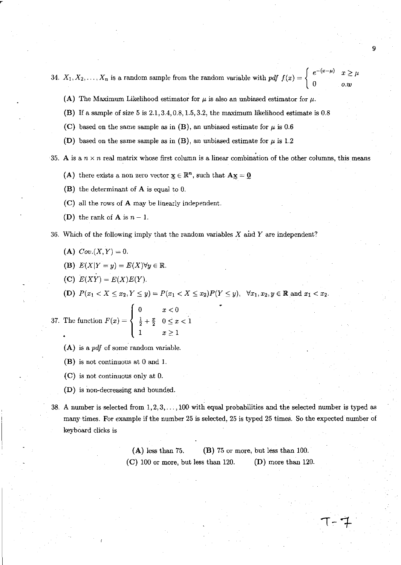$\begin{array}{c} \hline \end{array}$ 34.  $X_1, X_2, \ldots, X_n$  is a random sample from the random variable with pdf  $f(x) = \begin{cases} e^{-(x-\mu)} & \text{if } x \in \mathbb{R}^n, \\ 0 & \text{otherwise.} \end{cases}$ *o.w*  9

- (A) The Maximum Likelihood estimator for  $\mu$  is also an unbiased estimator for  $\mu$ .
- (B) If a sample of size 5 is 2.1,3.4,0.8,1.5,3.2, the maximum likelihood estimate is 0.8
- (C) based on the same sample as in (B), an unbiased estimate for  $\mu$  is 0.6
- (D) based on the same sample as in (B), an unbiased estimate for  $\mu$  is 1.2

35. A is a  $n \times n$  real matrix whose first column is a linear combination of the other columns, this means

(A) there exists a non zero vector  ${\bf x} \in \mathbb{R}^n$ , such that  ${\bf A} {\bf x} = {\bf 0}$ 

- (B) the determinant of A is equal to O.
- (C) all the rows of A may be linearly independent.
- (D) the rank of **A** is  $n-1$ .
- 36. Which of the following imply that the random variables X and *Yare* independent?
	- (A)  $Cov.(X, Y) = 0.$

3

- (B)  $E(X|Y=y) = E(X)\forall y \in \mathbb{R}$ .
- (C)  $E(XY) = E(X)E(Y)$ .

(D)  $P(x_1 < X \le x_2, Y \le y) = P(x_1 < X \le x_2)P(Y \le y)$ ,  $\forall x_1, x_2, y \in \mathbb{R}$  and  $x_1 < x_2$ .

7. The function 
$$
F(x) = \begin{cases} 0 & x < 0 \\ \frac{1}{2} + \frac{x}{2} & 0 \le x < 1 \\ 1 & x \ge 1 \end{cases}
$$

- $(A)$  is a pdf of some random variable.
- (B) is not continuous at 0 and 1.
- (C) is not continuous only at O.
- (D) is non-decreasing and bounded.
- 38. A number is selected from 1,2,3, ... , 100 with equal probabilities and the selected number is typed as many times. For example if the number 25 is selected, 25 is typed 25 times. So the expected number of keyboard clicks is

(A) less than 75. (B) 75 or more, but less than 100. (C) 100 or more, but less than 120. (D) more than 120.

 $7 - 7$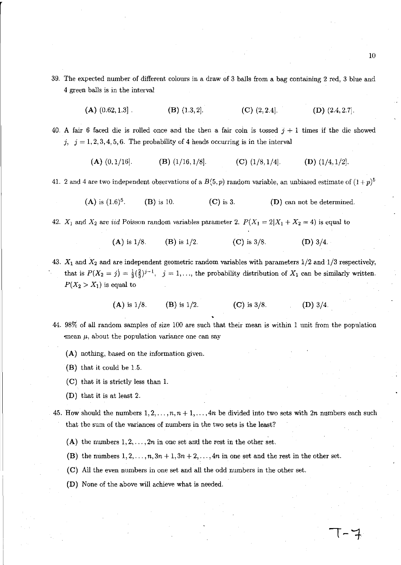- 39. The expected number of different colours in a draw of 3 balls from a bag containing 2 red, 3 blue and 4 green balls is in the interval
	- (A)  $(0.62, 1.3]$  . (B)  $(1.3, 2]$ . (C)  $(2, 2.4]$ . (D)  $(2.4, 2.7]$ .
- 40. A fair 6 faced die is rolled once and the then a fair coin is tossed  $j + 1$  times if the die showed j,  $j = 1, 2, 3, 4, 5, 6$ . The probability of 4 heads occurring is in the interval
	- (A)  $(0,1/16)$ . (B)  $(1/16,1/8)$ . (C)  $(1/8,1/4)$ . (D)  $(1/4,1/2)$ .

41. 2 and 4 are two independent observations of a  $B(5, p)$  random variable, an unbiased estimate of  $(1+p)^5$ 

(A) is  $(1.6)^5$ . (B) is 10. (C) is 3. (D) can not be determined.

42.  $X_1$  and  $X_2$  are *iid* Poisson random variables parameter 2.  $P(X_1 = 2|X_1 + X_2 = 4)$  is equal to

- (A) is  $1/8$ . (B) is  $1/2$ . (C) is  $3/8$ . (D)  $3/4$ .
- 43.  $X_1$  and  $X_2$  and are independent geometric random variables with parameters  $1/2$  and  $1/3$  respectively, that is  $P(X_2 = j) = \frac{1}{3}(\frac{2}{3})^{j-1}$ ,  $j = 1, \ldots$ , the probability distribution of  $X_1$  can be similarly written.  $P(X_2 > X_1)$  is equal to
	- (A) is  $1/8$ . (B) is  $1/2$ . (C) is  $3/8$ . (D)  $3/4$ .
- 44. 98% of all random samples of size 100 are such that their mean is within 1 unit from the population  $\epsilon$  mean  $\mu$ , about the population variance one can say
	- (A) nothing, based on the information given.
	- (B) that it could be 1.5.
	- (C) that it is strictly less than 1.
	- (D) that it is at least 2.
- 45. How should the numbers  $1, 2, \ldots, n, n + 1, \ldots, 4n$  be divided into two sets with  $2n$  numbers each such that the sum of the variances of numbers in the two sets is the least?
	- (A) the numbers  $1, 2, \ldots, 2n$  in one set and the rest in the other set.
	- (B) the numbers  $1, 2, \ldots, n, 3n + 1, 3n + 2, \ldots, 4n$  in one set and the rest in the other set.
	- (C) All the even numbers in one set and all the odd numbers in the other set.
	- (D) None of the above will achieve what is needed.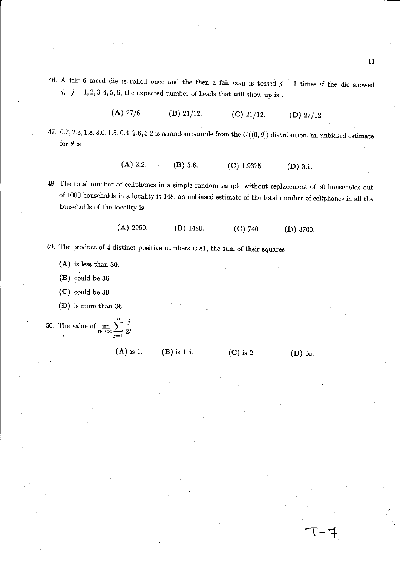- 46. A fair 6 faced die is rolled once and the then a fair coin is tossed  $j+1$  times if the die showed j,  $j = 1, 2, 3, 4, 5, 6$ , the expected number of heads that will show up is.
	- (A)  $27/6$ . (B)  $21/12$ . (C)  $21/12$ . (D)  $27/12$ .
- 47. 0.7, 2.3, 1.8, 3.0, 1.5, 0.4, 2.6, 3.2 is a random sample from the  $U((0, \theta])$  distribution, an unbiased estimate for  $\theta$  is
	- (A) 3.2. (B) 3.6. (C) 1.9375. (D) 3.1.
- 48. The total number of cellphones in a simple random sample without replacement of 50 households out of 1000 households in a locality is 148, an unbiased estimate of the total number of cellphones in all the households of the locality is
	- (A) 2960. (B) 1480. (C) 740. (D) 3700.
- 49. The product of 4 distinct positive numbers is 81, the sum of their squares
	- (A) is less than 30.
	- (B) could be 36.
	- (C) could be 30.
	- (D) is more than 36.
- 50. The value of  $\lim_{n\to\infty} \sum_{j=1}^n \frac{j}{2^j}$ 
	- (A) is 1. (B) is 1.5. (C) is 2.

 $(D)$   $\infty$ .

 $T - 7$